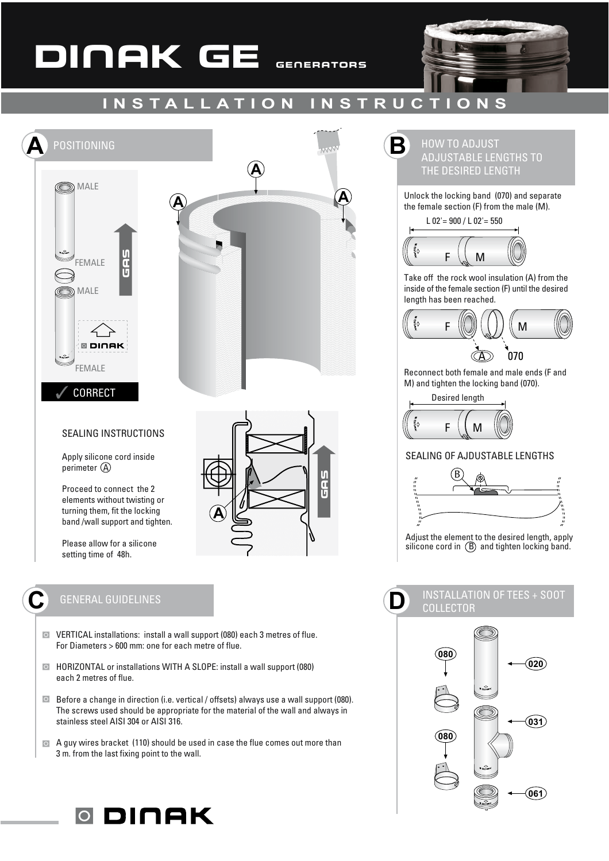# DINAK GE GENERATORS



#### **INSTALLATION INSTRUCTIONS**



elements without twisting or turning them, fit the locking band /wall support and tighten.

Please allow for a silicone setting time of 48h.

### **GENERAL GUIDELINES**

- O VERTICAL installations: install a wall support (080) each 3 metres of flue. For Diameters > 600 mm: one for each metre of flue.
- I HORIZONTAL or installations WITH A SLOPE: install a wall support (080) each 2 metres of flue.
- **E** Before a change in direction (i.e. vertical / offsets) always use a wall support (080). The screws used should be appropriate for the material of the wall and always in stainless steel AISI 304 or AISI 316.
- A guy wires bracket (110) should be used in case the flue comes out more than 3 m. from the last fixing point to the wall.



Unlock the locking band (070) and separate the female section (F) from the male (M).



Take off the rock wool insulation (A) from the inside of the female section (F) until the desired length has been reached.



Reconnect both female and male ends (F and M) and tighten the locking band (070).

Desired length



#### **SEALING OF AJDUSTABLE LENGTHS**



Adjust the element to the desired length, apply silicone cord in (B) and tighten locking band.

## I)

#### **INSTALLATION OF TEES + SOOT COLLECTOR**